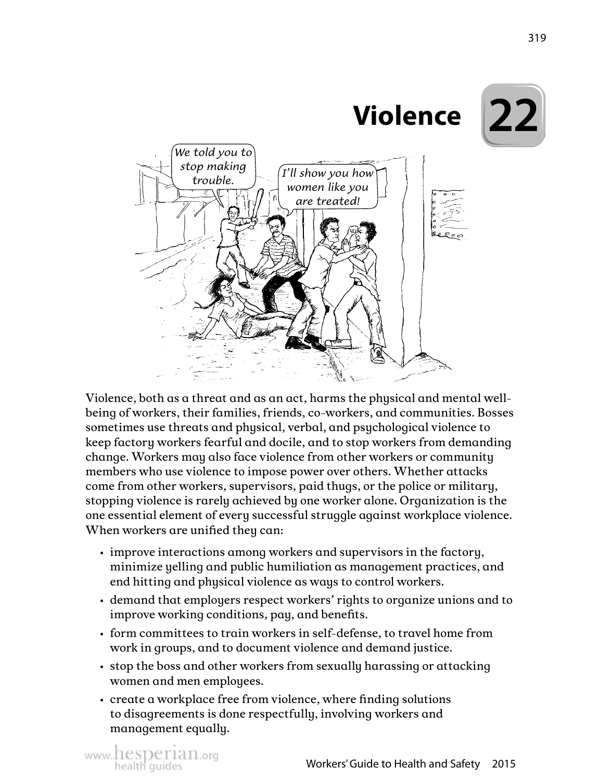

Violence, both as a threat and as an act, harms the physical and mental wellbeing of workers, their families, friends, co-workers, and communities. Bosses sometimes use threats and physical, verbal, and psychological violence to keep factory workers fearful and docile, and to stop workers from demanding change. Workers may also face violence from other workers or community members who use violence to impose power over others. Whether attacks come from other workers, supervisors, paid thugs, or the police or military, stopping violence is rarely achieved by one worker alone. Organization is the one essential element of every successful struggle against workplace violence. When workers are unified they can:

- improve interactions among workers and supervisors in the factory, minimize yelling and public humiliation as management practices, and end hitting and physical violence as ways to control workers.
- demand that employers respect workers' rights to organize unions and to improve working conditions, pay, and benefits.
- form committees to train workers in self-defense, to travel home from work in groups, and to document violence and demand justice.
- stop the boss and other workers from sexually harassing or attacking women and men employees.
- create a workplace free from violence, where finding solutions to disagreements is done respectfully, involving workers and management equally.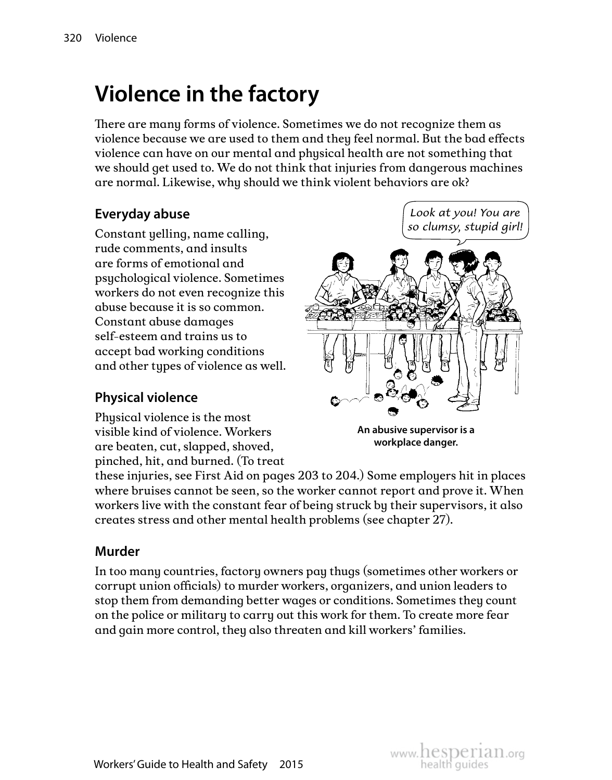# **Violence in the factory**

There are many forms of violence. Sometimes we do not recognize them as violence because we are used to them and they feel normal. But the bad effects violence can have on our mental and physical health are not something that we should get used to. We do not think that injuries from dangerous machines are normal. Likewise, why should we think violent behaviors are ok?

### **Everyday abuse**

Constant yelling, name calling, rude comments, and insults are forms of emotional and psychological violence. Sometimes workers do not even recognize this abuse because it is so common. Constant abuse damages self-esteem and trains us to accept bad working conditions and other types of violence as well.

#### **Physical violence**

Physical violence is the most visible kind of violence. Workers are beaten, cut, slapped, shoved, pinched, hit, and burned. (To treat

*Look at you! You are so clumsy, stupid girl!*



**An abusive supervisor is a workplace danger.**

these injuries, see First Aid on pages 203 to 204.) Some employers hit in places where bruises cannot be seen, so the worker cannot report and prove it. When workers live with the constant fear of being struck by their supervisors, it also creates stress and other mental health problems (see chapter 27).

#### **Murder**

In too many countries, factory owners pay thugs (sometimes other workers or corrupt union officials) to murder workers, organizers, and union leaders to stop them from demanding better wages or conditions. Sometimes they count on the police or military to carry out this work for them. To create more fear and gain more control, they also threaten and kill workers' families.

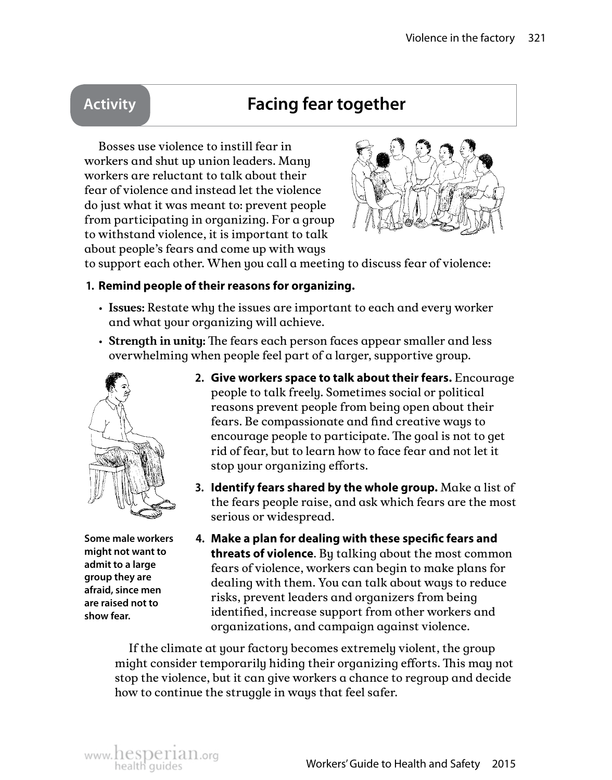### **Activity Facing fear together**

Bosses use violence to instill fear in workers and shut up union leaders. Many workers are reluctant to talk about their fear of violence and instead let the violence do just what it was meant to: prevent people from participating in organizing. For a group to withstand violence, it is important to talk about people's fears and come up with ways



to support each other. When you call a meeting to discuss fear of violence:

#### **1. Remind people of their reasons for organizing.**

- **Issues:** Restate why the issues are important to each and every worker and what your organizing will achieve.
- **Strength in unity:** The fears each person faces appear smaller and less overwhelming when people feel part of a larger, supportive group.



**Some male workers might not want to admit to a large group they are afraid, since men are raised not to show fear.** 

- **2. Give workers space to talk about their fears.** Encourage people to talk freely. Sometimes social or political reasons prevent people from being open about their fears. Be compassionate and find creative ways to encourage people to participate. The goal is not to get rid of fear, but to learn how to face fear and not let it stop your organizing efforts.
- **3. Identify fears shared by the whole group.** Make a list of the fears people raise, and ask which fears are the most serious or widespread.
- **4. Make a plan for dealing with these specific fears and threats of violence**. By talking about the most common fears of violence, workers can begin to make plans for dealing with them. You can talk about ways to reduce risks, prevent leaders and organizers from being identified, increase support from other workers and organizations, and campaign against violence.

If the climate at your factory becomes extremely violent, the group might consider temporarily hiding their organizing efforts. This may not stop the violence, but it can give workers a chance to regroup and decide how to continue the struggle in ways that feel safer.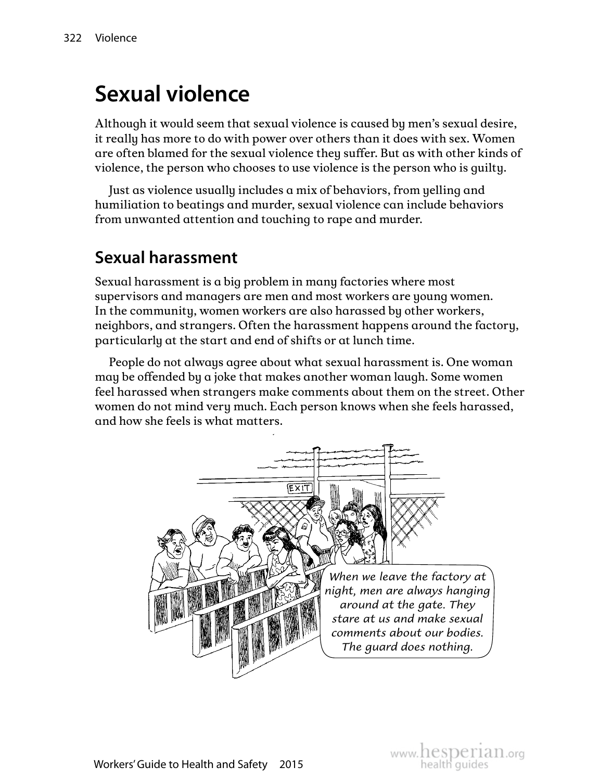# **Sexual violence**

Although it would seem that sexual violence is caused by men's sexual desire, it really has more to do with power over others than it does with sex. Women are often blamed for the sexual violence they suffer. But as with other kinds of violence, the person who chooses to use violence is the person who is guilty.

Just as violence usually includes a mix of behaviors, from yelling and humiliation to beatings and murder, sexual violence can include behaviors from unwanted attention and touching to rape and murder.

### **Sexual harassment**

Sexual harassment is a big problem in many factories where most supervisors and managers are men and most workers are young women. In the community, women workers are also harassed by other workers, neighbors, and strangers. Often the harassment happens around the factory, particularly at the start and end of shifts or at lunch time.

People do not always agree about what sexual harassment is. One woman may be offended by a joke that makes another woman laugh. Some women feel harassed when strangers make comments about them on the street. Other women do not mind very much. Each person knows when she feels harassed, and how she feels is what matters.

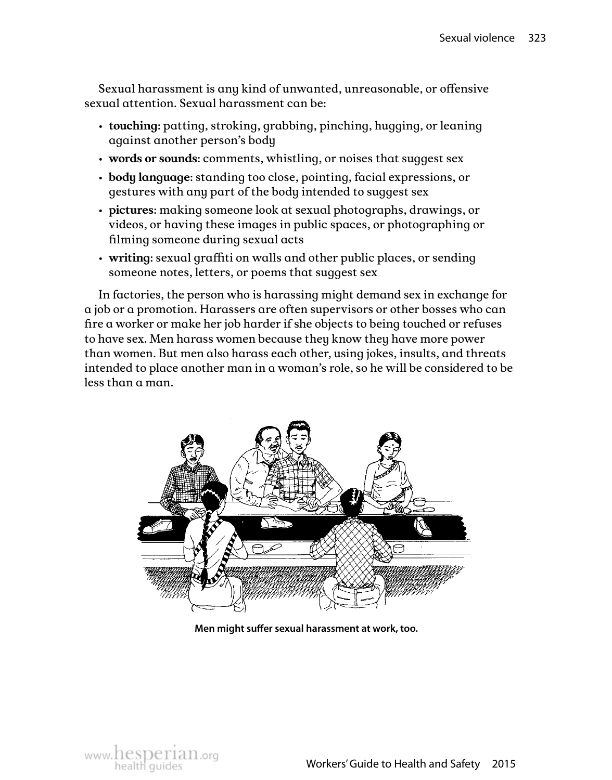Sexual harassment is any kind of unwanted, unreasonable, or offensive sexual attention. Sexual harassment can be:

- **touching**: patting, stroking, grabbing, pinching, hugging, or leaning against another person's body
- **words or sounds**: comments, whistling, or noises that suggest sex
- **body language**: standing too close, pointing, facial expressions, or gestures with any part of the body intended to suggest sex
- **pictures**: making someone look at sexual photographs, drawings, or videos, or having these images in public spaces, or photographing or filming someone during sexual acts
- **writing**: sexual graffiti on walls and other public places, or sending someone notes, letters, or poems that suggest sex

In factories, the person who is harassing might demand sex in exchange for a job or a promotion. Harassers are often supervisors or other bosses who can fire a worker or make her job harder if she objects to being touched or refuses to have sex. Men harass women because they know they have more power than women. But men also harass each other, using jokes, insults, and threats intended to place another man in a woman's role, so he will be considered to be less than a man.



**Men might suffer sexual harassment at work, too.**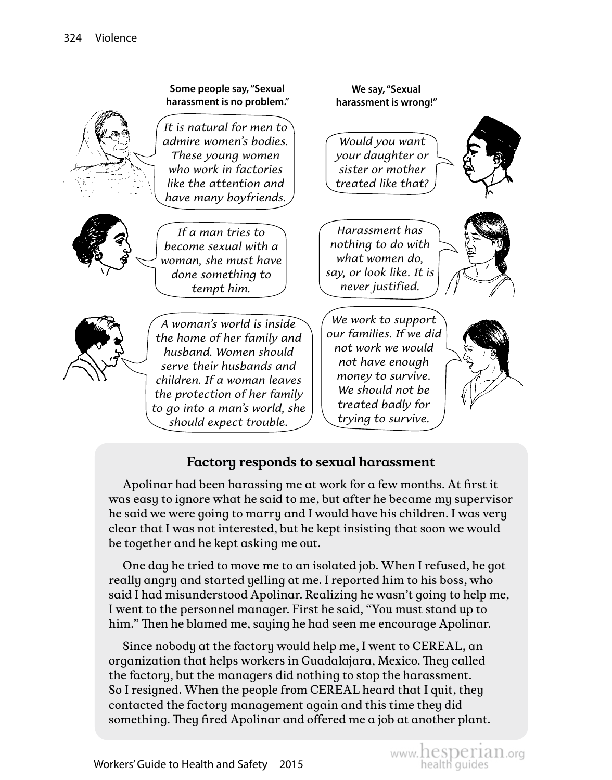

### **Factory responds to sexual harassment**

Apolinar had been harassing me at work for a few months. At first it was easy to ignore what he said to me, but after he became my supervisor he said we were going to marry and I would have his children. I was very clear that I was not interested, but he kept insisting that soon we would be together and he kept asking me out.

One day he tried to move me to an isolated job. When I refused, he got really angry and started yelling at me. I reported him to his boss, who said I had misunderstood Apolinar. Realizing he wasn't going to help me, I went to the personnel manager. First he said, "You must stand up to him." Then he blamed me, saying he had seen me encourage Apolinar.

Since nobody at the factory would help me, I went to CEREAL, an organization that helps workers in Guadalajara, Mexico. They called the factory, but the managers did nothing to stop the harassment. So I resigned. When the people from CEREAL heard that I quit, they contacted the factory management again and this time they did something. They fired Apolinar and offered me a job at another plant.

www.hesperian.org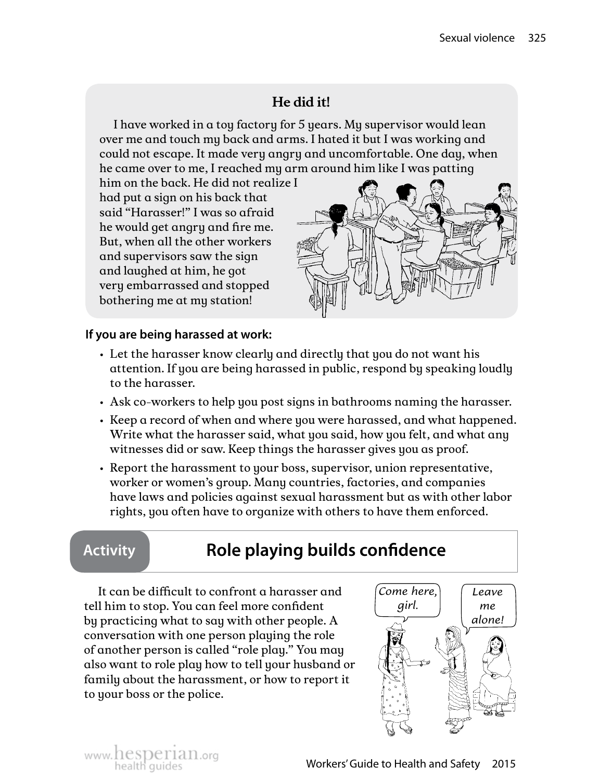### **He did it!**

I have worked in a toy factory for 5 years. My supervisor would lean over me and touch my back and arms. I hated it but I was working and could not escape. It made very angry and uncomfortable. One day, when he came over to me, I reached my arm around him like I was patting

him on the back. He did not realize I had put a sign on his back that said "Harasser!" I was so afraid he would get angry and fire me. But, when all the other workers and supervisors saw the sign and laughed at him, he got very embarrassed and stopped bothering me at my station!



#### **If you are being harassed at work:**

- Let the harasser know clearly and directly that you do not want his attention. If you are being harassed in public, respond by speaking loudly to the harasser.
- Ask co-workers to help you post signs in bathrooms naming the harasser.
- Keep a record of when and where you were harassed, and what happened. Write what the harasser said, what you said, how you felt, and what any witnesses did or saw. Keep things the harasser gives you as proof.
- Report the harassment to your boss, supervisor, union representative, worker or women's group. Many countries, factories, and companies have laws and policies against sexual harassment but as with other labor rights, you often have to organize with others to have them enforced.

## **Activity Role playing builds confidence**

It can be difficult to confront a harasser and tell him to stop. You can feel more confident by practicing what to say with other people. A conversation with one person playing the role of another person is called "role play." You may also want to role play how to tell your husband or family about the harassment, or how to report it to your boss or the police.



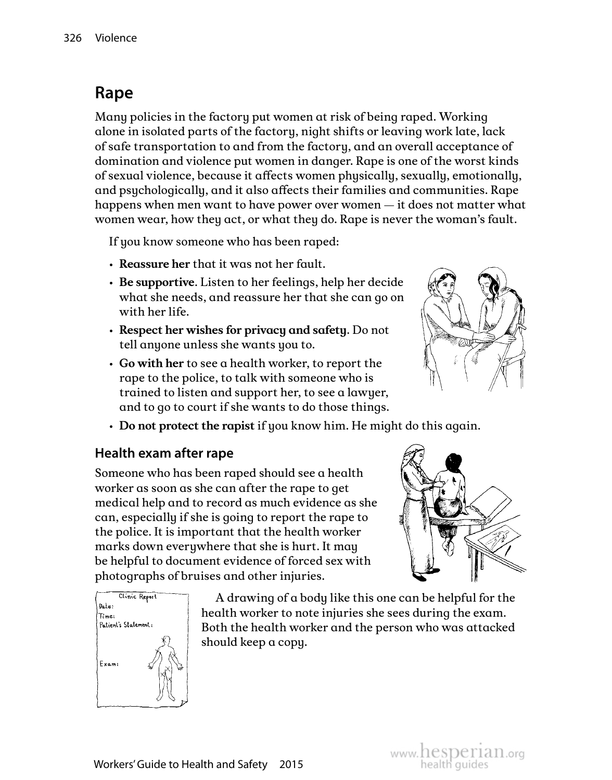## **Rape**

Many policies in the factory put women at risk of being raped. Working alone in isolated parts of the factory, night shifts or leaving work late, lack of safe transportation to and from the factory, and an overall acceptance of domination and violence put women in danger. Rape is one of the worst kinds of sexual violence, because it affects women physically, sexually, emotionally, and psychologically, and it also affects their families and communities. Rape happens when men want to have power over women — it does not matter what women wear, how they act, or what they do. Rape is never the woman's fault.

If you know someone who has been raped:

- **Reassure her** that it was not her fault.
- **Be supportive**. Listen to her feelings, help her decide what she needs, and reassure her that she can go on with her life.
- **Respect her wishes for privacy and safety**. Do not tell anyone unless she wants you to.
- **Go with her** to see a health worker, to report the rape to the police, to talk with someone who is trained to listen and support her, to see a lawyer, and to go to court if she wants to do those things.
- **Do not protect the rapist** if you know him. He might do this again.

#### **Health exam after rape**

Someone who has been raped should see a health worker as soon as she can after the rape to get medical help and to record as much evidence as she can, especially if she is going to report the rape to the police. It is important that the health worker marks down everywhere that she is hurt. It may be helpful to document evidence of forced sex with photographs of bruises and other injuries.



A drawing of a body like this one can be helpful for the health worker to note injuries she sees during the exam. Both the health worker and the person who was attacked should keep a copy.



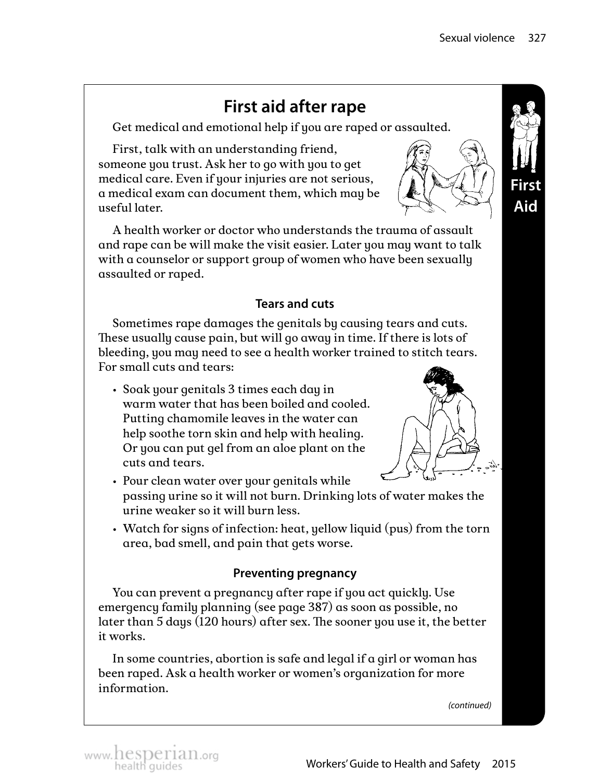## **First aid after rape**

Get medical and emotional help if you are raped or assaulted.

First, talk with an understanding friend, someone you trust. Ask her to go with you to get medical care. Even if your injuries are not serious, a medical exam can document them, which may be useful later.



A health worker or doctor who understands the trauma of assault and rape can be will make the visit easier. Later you may want to talk with a counselor or support group of women who have been sexually assaulted or raped.

#### **Tears and cuts**

Sometimes rape damages the genitals by causing tears and cuts. These usually cause pain, but will go away in time. If there is lots of bleeding, you may need to see a health worker trained to stitch tears. For small cuts and tears:

• Soak your genitals 3 times each day in warm water that has been boiled and cooled. Putting chamomile leaves in the water can help soothe torn skin and help with healing. Or you can put gel from an aloe plant on the cuts and tears.



- Pour clean water over your genitals while passing urine so it will not burn. Drinking lots of water makes the urine weaker so it will burn less.
- Watch for signs of infection: heat, yellow liquid (pus) from the torn area, bad smell, and pain that gets worse.

#### **Preventing pregnancy**

You can prevent a pregnancy after rape if you act quickly. Use emergency family planning (see page 387) as soon as possible, no later than 5 days (120 hours) after sex. The sooner you use it, the better it works.

In some countries, abortion is safe and legal if a girl or woman has been raped. Ask a health worker or women's organization for more information.

*(continued)*



www. hesperian.org<br>health quides **Exercise Service Converts' Guide to Health and Safety** 2015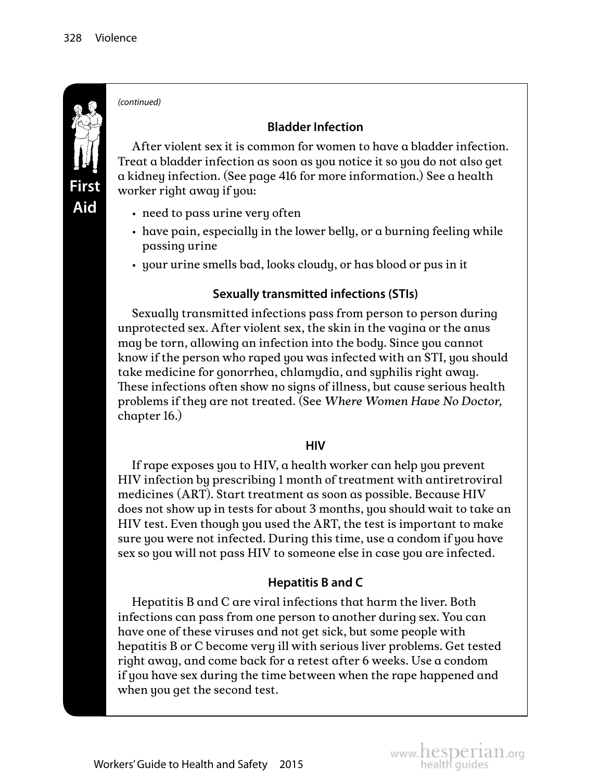

*(continued)*

#### **Bladder Infection**

After violent sex it is common for women to have a bladder infection. Treat a bladder infection as soon as you notice it so you do not also get a kidney infection. (See page 416 for more information.) See a health worker right away if you:

- need to pass urine very often
- have pain, especially in the lower belly, or a burning feeling while passing urine
- your urine smells bad, looks cloudy, or has blood or pus in it

#### **Sexually transmitted infections (STIs)**

Sexually transmitted infections pass from person to person during unprotected sex. After violent sex, the skin in the vagina or the anus may be torn, allowing an infection into the body. Since you cannot know if the person who raped you was infected with an STI, you should take medicine for gonorrhea, chlamydia, and syphilis right away. These infections often show no signs of illness, but cause serious health problems if they are not treated. (See *Where Women Have No Doctor*, chapter 16.)

#### **HIV**

If rape exposes you to HIV, a health worker can help you prevent HIV infection by prescribing 1 month of treatment with antiretroviral medicines (ART). Start treatment as soon as possible. Because HIV does not show up in tests for about 3 months, you should wait to take an HIV test. Even though you used the ART, the test is important to make sure you were not infected. During this time, use a condom if you have sex so you will not pass HIV to someone else in case you are infected.

#### **Hepatitis B and C**

Hepatitis B and C are viral infections that harm the liver. Both infections can pass from one person to another during sex. You can have one of these viruses and not get sick, but some people with hepatitis B or C become very ill with serious liver problems. Get tested right away, and come back for a retest after 6 weeks. Use a condom if you have sex during the time between when the rape happened and when you get the second test.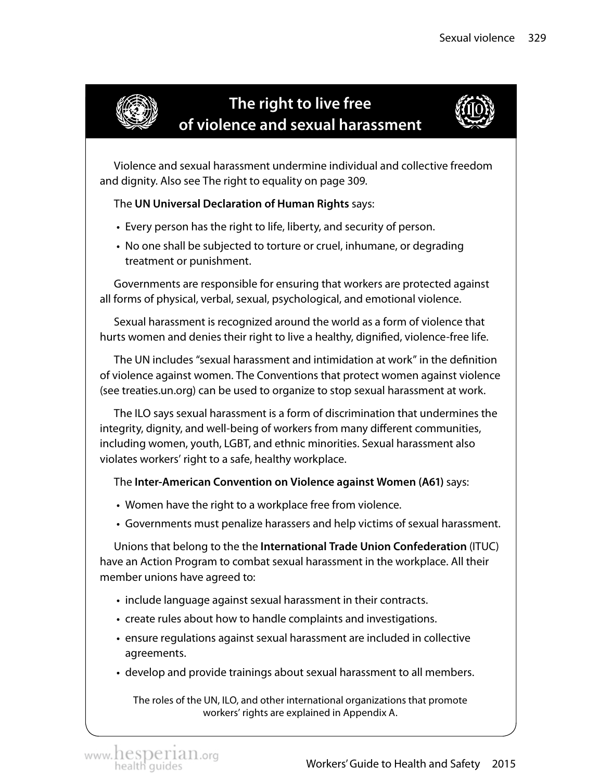

### **The right to live free of violence and sexual harassment**



Violence and sexual harassment undermine individual and collective freedom and dignity. Also see The right to equality on page 309.

#### The **UN Universal Declaration of Human Rights** says:

- Every person has the right to life, liberty, and security of person.
- No one shall be subjected to torture or cruel, inhumane, or degrading treatment or punishment.

Governments are responsible for ensuring that workers are protected against all forms of physical, verbal, sexual, psychological, and emotional violence.

Sexual harassment is recognized around the world as a form of violence that hurts women and denies their right to live a healthy, dignified, violence-free life.

The UN includes "sexual harassment and intimidation at work" in the definition of violence against women. The Conventions that protect women against violence (see treaties.un.org) can be used to organize to stop sexual harassment at work.

The ILO says sexual harassment is a form of discrimination that undermines the integrity, dignity, and well-being of workers from many different communities, including women, youth, LGBT, and ethnic minorities. Sexual harassment also violates workers' right to a safe, healthy workplace.

The **Inter-American Convention on Violence against Women (A61)** says:

- Women have the right to a workplace free from violence.
- Governments must penalize harassers and help victims of sexual harassment.

Unions that belong to the the **International Trade Union Confederation** (ITUC) have an Action Program to combat sexual harassment in the workplace. All their member unions have agreed to:

- include language against sexual harassment in their contracts.
- create rules about how to handle complaints and investigations.
- ensure regulations against sexual harassment are included in collective agreements.
- develop and provide trainings about sexual harassment to all members.

The roles of the UN, ILO, and other international organizations that promote workers' rights are explained in Appendix A.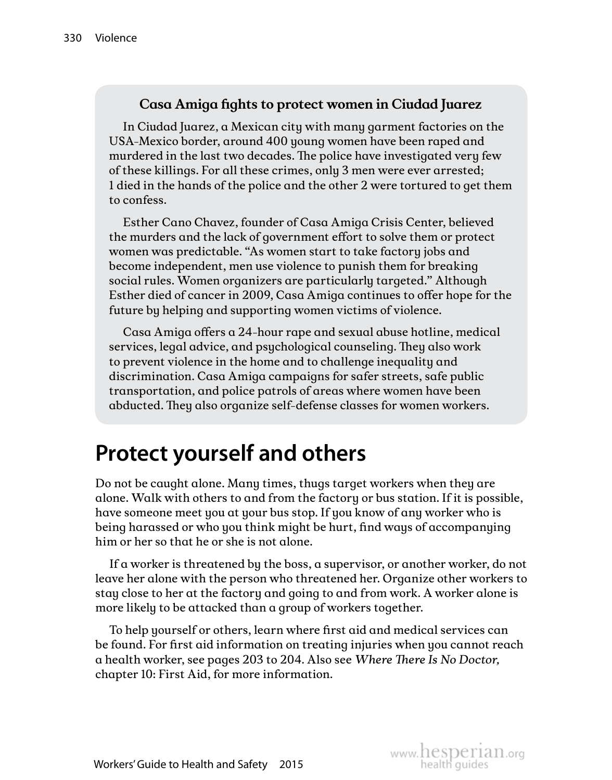#### **Casa Amiga fights to protect women in Ciudad Juarez**

In Ciudad Juarez, a Mexican city with many garment factories on the USA-Mexico border, around 400 young women have been raped and murdered in the last two decades. The police have investigated very few of these killings. For all these crimes, only 3 men were ever arrested; 1 died in the hands of the police and the other 2 were tortured to get them to confess.

Esther Cano Chavez, founder of Casa Amiga Crisis Center, believed the murders and the lack of government effort to solve them or protect women was predictable. "As women start to take factory jobs and become independent, men use violence to punish them for breaking social rules. Women organizers are particularly targeted." Although Esther died of cancer in 2009, Casa Amiga continues to offer hope for the future by helping and supporting women victims of violence.

Casa Amiga offers a 24-hour rape and sexual abuse hotline, medical services, legal advice, and psychological counseling. They also work to prevent violence in the home and to challenge inequality and discrimination. Casa Amiga campaigns for safer streets, safe public transportation, and police patrols of areas where women have been abducted. They also organize self-defense classes for women workers.

# **Protect yourself and others**

Do not be caught alone. Many times, thugs target workers when they are alone. Walk with others to and from the factory or bus station. If it is possible, have someone meet you at your bus stop. If you know of any worker who is being harassed or who you think might be hurt, find ways of accompanying him or her so that he or she is not alone.

If a worker is threatened by the boss, a supervisor, or another worker, do not leave her alone with the person who threatened her. Organize other workers to stay close to her at the factory and going to and from work. A worker alone is more likely to be attacked than a group of workers together.

To help yourself or others, learn where first aid and medical services can be found. For first aid information on treating injuries when you cannot reach a health worker, see pages 203 to 204. Also see *Where There Is No Doctor,*  chapter 10: First Aid, for more information.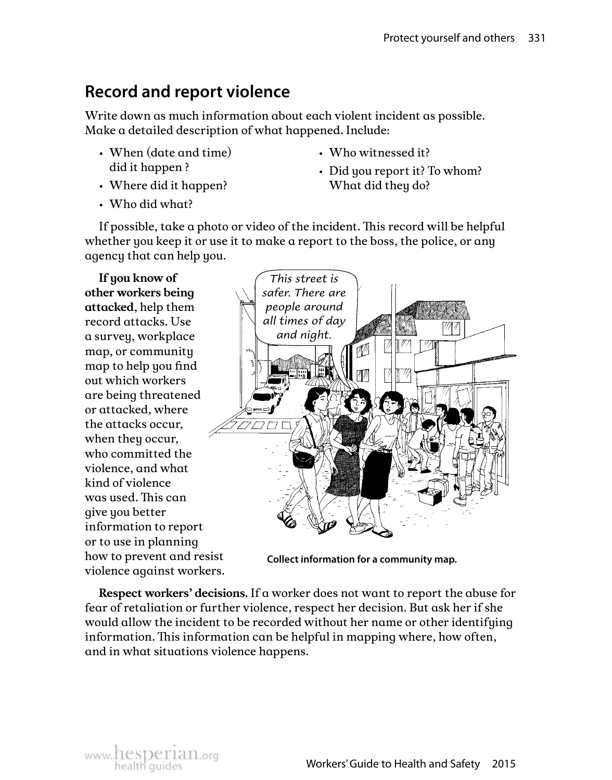### **Record and report violence**

Write down as much information about each violent incident as possible. Make a detailed description of what happened. Include:

- When (date and time) did it happen ?
- Where did it happen?
- Who witnessed it?
- Did you report it? To whom? What did they do?

• Who did what?

If possible, take a photo or video of the incident. This record will be helpful whether you keep it or use it to make a report to the boss, the police, or any agency that can help you.

**If you know of other workers being attacked**, help them record attacks. Use a survey, workplace map, or community map to help you find out which workers are being threatened or attacked, where the attacks occur, when they occur, who committed the violence, and what kind of violence was used. This can give you better information to report or to use in planning how to prevent and resist violence against workers.



**Collect information for a community map.** 

**Respect workers' decisions.** If a worker does not want to report the abuse for fear of retaliation or further violence, respect her decision. But ask her if she would allow the incident to be recorded without her name or other identifying information. This information can be helpful in mapping where, how often, and in what situations violence happens.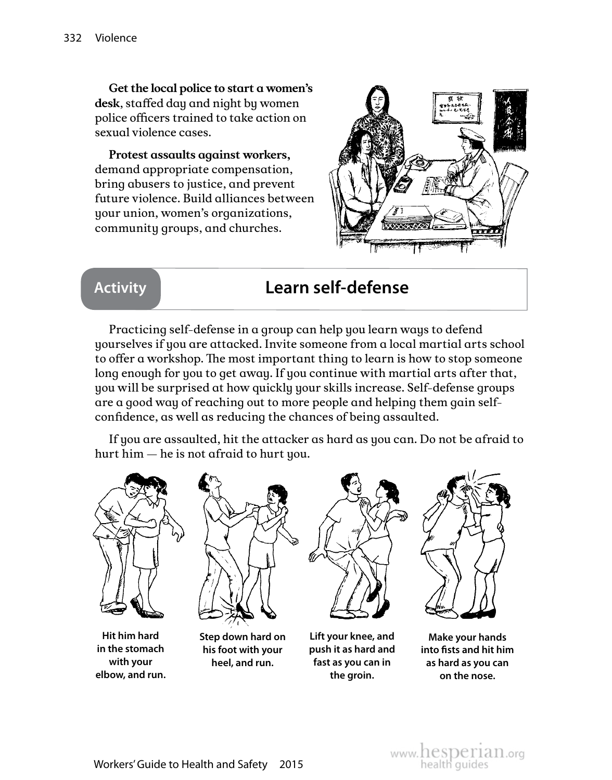**Get the local police to start a women's desk**, staffed day and night by women police officers trained to take action on sexual violence cases.

**Protest assaults against workers,** demand appropriate compensation, bring abusers to justice, and prevent future violence. Build alliances between your union, women's organizations, community groups, and churches.



### **Activity Learn self-defense**

Practicing self-defense in a group can help you learn ways to defend yourselves if you are attacked. Invite someone from a local martial arts school to offer a workshop. The most important thing to learn is how to stop someone long enough for you to get away. If you continue with martial arts after that, you will be surprised at how quickly your skills increase. Self-defense groups are a good way of reaching out to more people and helping them gain selfconfidence, as well as reducing the chances of being assaulted.

If you are assaulted, hit the attacker as hard as you can. Do not be afraid to hurt him — he is not afraid to hurt you.



**Hit him hard in the stomach with your elbow, and run.**



**Step down hard on his foot with your heel, and run.**



**the groin.**



**Lift your knee, and push it as hard and fast as you can in Make your hands into fists and hit him as hard as you can on the nose.**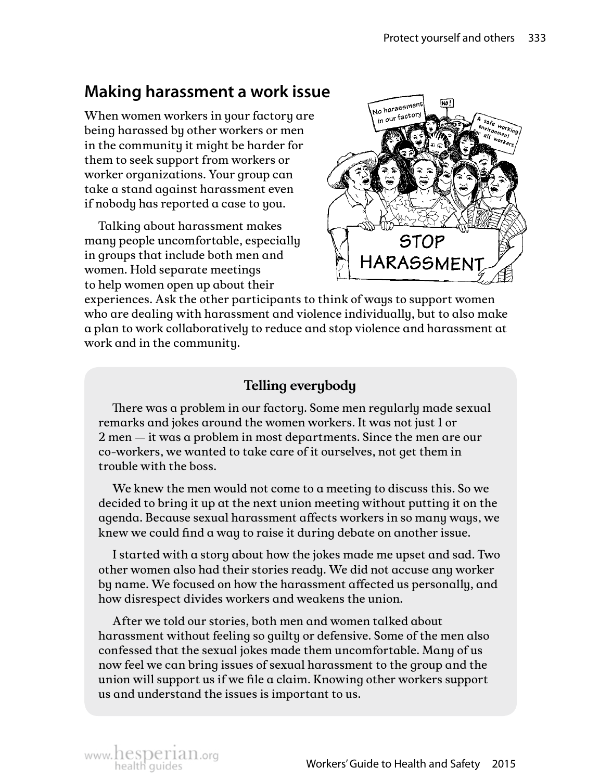### **Making harassment a work issue**

When women workers in your factory are being harassed by other workers or men in the community it might be harder for them to seek support from workers or worker organizations. Your group can take a stand against harassment even if nobody has reported a case to you.

Talking about harassment makes many people uncomfortable, especially in groups that include both men and women. Hold separate meetings to help women open up about their



experiences. Ask the other participants to think of ways to support women who are dealing with harassment and violence individually, but to also make a plan to work collaboratively to reduce and stop violence and harassment at work and in the community.

#### **Telling everybody**

There was a problem in our factory. Some men regularly made sexual remarks and jokes around the women workers. It was not just 1 or 2 men — it was a problem in most departments. Since the men are our co-workers, we wanted to take care of it ourselves, not get them in trouble with the boss.

We knew the men would not come to a meeting to discuss this. So we decided to bring it up at the next union meeting without putting it on the agenda. Because sexual harassment affects workers in so many ways, we knew we could find a way to raise it during debate on another issue.

I started with a story about how the jokes made me upset and sad. Two other women also had their stories ready. We did not accuse any worker by name. We focused on how the harassment affected us personally, and how disrespect divides workers and weakens the union.

After we told our stories, both men and women talked about harassment without feeling so guilty or defensive. Some of the men also confessed that the sexual jokes made them uncomfortable. Many of us now feel we can bring issues of sexual harassment to the group and the union will support us if we file a claim. Knowing other workers support us and understand the issues is important to us.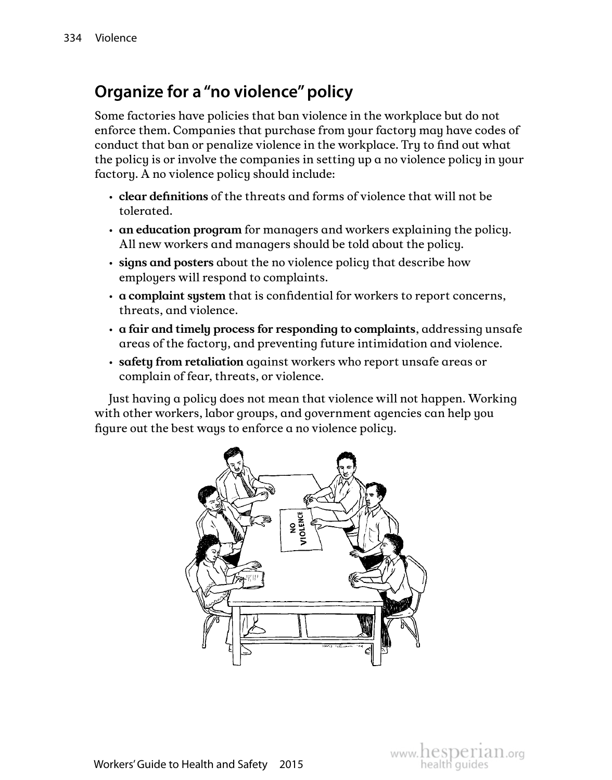### **Organize for a "no violence" policy**

Some factories have policies that ban violence in the workplace but do not enforce them. Companies that purchase from your factory may have codes of conduct that ban or penalize violence in the workplace. Try to find out what the policy is or involve the companies in setting up a no violence policy in your factory. A no violence policy should include:

- **clear definitions** of the threats and forms of violence that will not be tolerated.
- **an education program** for managers and workers explaining the policy. All new workers and managers should be told about the policy.
- **signs and posters** about the no violence policy that describe how employers will respond to complaints.
- **a complaint system** that is confidential for workers to report concerns, threats, and violence.
- **a fair and timely process for responding to complaints**, addressing unsafe areas of the factory, and preventing future intimidation and violence.
- **safety from retaliation** against workers who report unsafe areas or complain of fear, threats, or violence.

Just having a policy does not mean that violence will not happen. Working with other workers, labor groups, and government agencies can help you figure out the best ways to enforce a no violence policy.